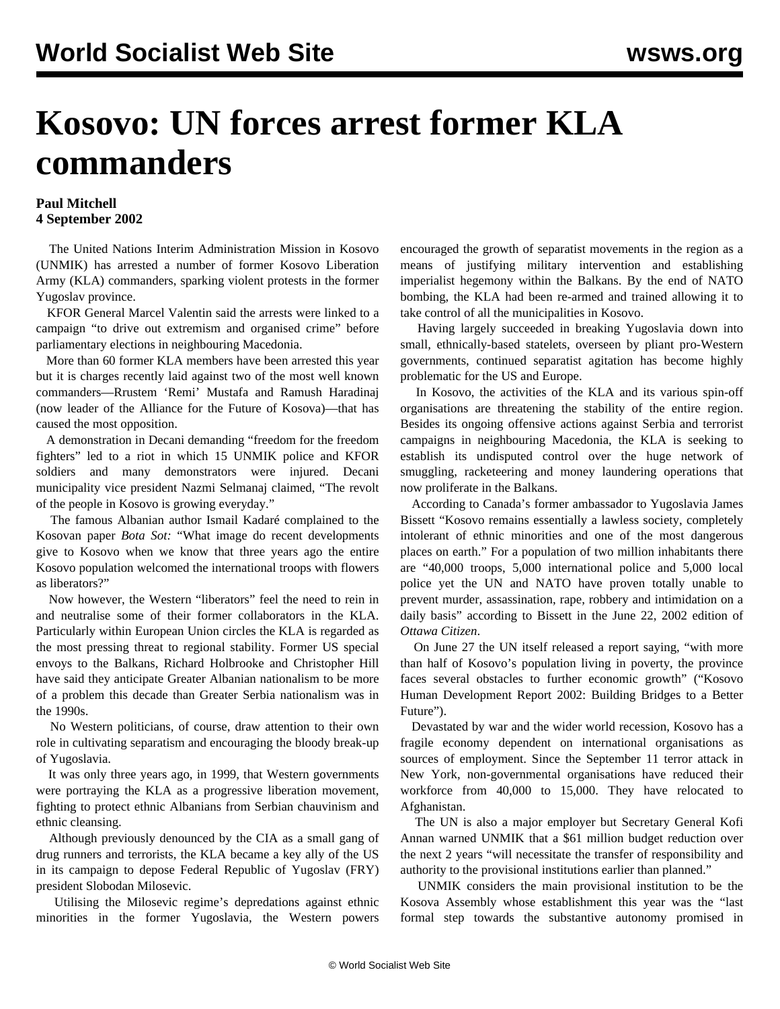## **Kosovo: UN forces arrest former KLA commanders**

## **Paul Mitchell 4 September 2002**

 The United Nations Interim Administration Mission in Kosovo (UNMIK) has arrested a number of former Kosovo Liberation Army (KLA) commanders, sparking violent protests in the former Yugoslav province.

 KFOR General Marcel Valentin said the arrests were linked to a campaign "to drive out extremism and organised crime" before parliamentary elections in neighbouring Macedonia.

 More than 60 former KLA members have been arrested this year but it is charges recently laid against two of the most well known commanders—Rrustem 'Remi' Mustafa and Ramush Haradinaj (now leader of the Alliance for the Future of Kosova)—that has caused the most opposition.

 A demonstration in Decani demanding "freedom for the freedom fighters" led to a riot in which 15 UNMIK police and KFOR soldiers and many demonstrators were injured. Decani municipality vice president Nazmi Selmanaj claimed, "The revolt of the people in Kosovo is growing everyday."

 The famous Albanian author Ismail Kadaré complained to the Kosovan paper *Bota Sot:* "What image do recent developments give to Kosovo when we know that three years ago the entire Kosovo population welcomed the international troops with flowers as liberators?"

 Now however, the Western "liberators" feel the need to rein in and neutralise some of their former collaborators in the KLA. Particularly within European Union circles the KLA is regarded as the most pressing threat to regional stability. Former US special envoys to the Balkans, Richard Holbrooke and Christopher Hill have said they anticipate Greater Albanian nationalism to be more of a problem this decade than Greater Serbia nationalism was in the 1990s.

 No Western politicians, of course, draw attention to their own role in cultivating separatism and encouraging the bloody break-up of Yugoslavia.

 It was only three years ago, in 1999, that Western governments were portraying the KLA as a progressive liberation movement, fighting to protect ethnic Albanians from Serbian chauvinism and ethnic cleansing.

 Although previously denounced by the CIA as a small gang of drug runners and terrorists, the KLA became a key ally of the US in its campaign to depose Federal Republic of Yugoslav (FRY) president Slobodan Milosevic.

 Utilising the Milosevic regime's depredations against ethnic minorities in the former Yugoslavia, the Western powers encouraged the growth of separatist movements in the region as a means of justifying military intervention and establishing imperialist hegemony within the Balkans. By the end of NATO bombing, the KLA had been re-armed and trained allowing it to take control of all the municipalities in Kosovo.

 Having largely succeeded in breaking Yugoslavia down into small, ethnically-based statelets, overseen by pliant pro-Western governments, continued separatist agitation has become highly problematic for the US and Europe.

 In Kosovo, the activities of the KLA and its various spin-off organisations are threatening the stability of the entire region. Besides its ongoing offensive actions against Serbia and terrorist campaigns in neighbouring Macedonia, the KLA is seeking to establish its undisputed control over the huge network of smuggling, racketeering and money laundering operations that now proliferate in the Balkans.

 According to Canada's former ambassador to Yugoslavia James Bissett "Kosovo remains essentially a lawless society, completely intolerant of ethnic minorities and one of the most dangerous places on earth." For a population of two million inhabitants there are "40,000 troops, 5,000 international police and 5,000 local police yet the UN and NATO have proven totally unable to prevent murder, assassination, rape, robbery and intimidation on a daily basis" according to Bissett in the June 22, 2002 edition of *Ottawa Citizen*.

 On June 27 the UN itself released a report saying, "with more than half of Kosovo's population living in poverty, the province faces several obstacles to further economic growth" ("Kosovo Human Development Report 2002: Building Bridges to a Better Future").

 Devastated by war and the wider world recession, Kosovo has a fragile economy dependent on international organisations as sources of employment. Since the September 11 terror attack in New York, non-governmental organisations have reduced their workforce from 40,000 to 15,000. They have relocated to Afghanistan.

 The UN is also a major employer but Secretary General Kofi Annan warned UNMIK that a \$61 million budget reduction over the next 2 years "will necessitate the transfer of responsibility and authority to the provisional institutions earlier than planned."

 UNMIK considers the main provisional institution to be the Kosova Assembly whose establishment this year was the "last formal step towards the substantive autonomy promised in